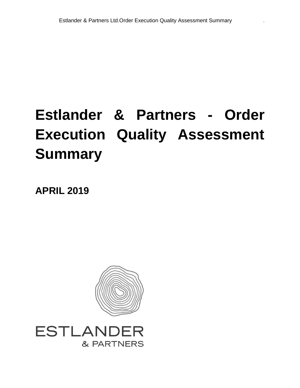# **Estlander & Partners - Order Execution Quality Assessment Summary**

**APRIL 2019**



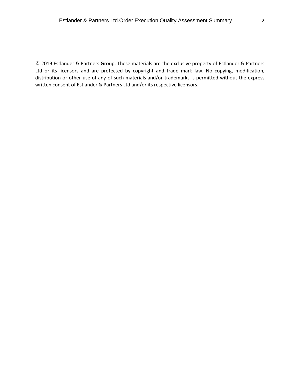© 2019 Estlander & Partners Group. These materials are the exclusive property of Estlander & Partners Ltd or its licensors and are protected by copyright and trade mark law. No copying, modification, distribution or other use of any of such materials and/or trademarks is permitted without the express written consent of Estlander & Partners Ltd and/or its respective licensors.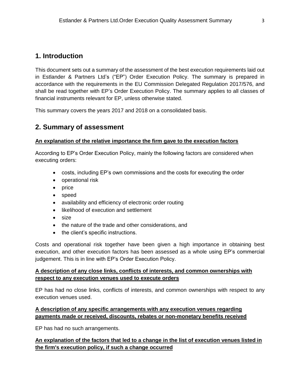# **1. Introduction**

This document sets out a summary of the assessment of the best execution requirements laid out in Estlander & Partners Ltd's ("EP") Order Execution Policy. The summary is prepared in accordance with the requirements in the EU Commission Delegated Regulation 2017/576, and shall be read together with EP's Order Execution Policy. The summary applies to all classes of financial instruments relevant for EP, unless otherwise stated.

This summary covers the years 2017 and 2018 on a consolidated basis.

# **2. Summary of assessment**

#### **An explanation of the relative importance the firm gave to the execution factors**

According to EP's Order Execution Policy, mainly the following factors are considered when executing orders:

- costs, including EP's own commissions and the costs for executing the order
- operational risk
- price
- speed
- availability and efficiency of electronic order routing
- likelihood of execution and settlement
- size
- the nature of the trade and other considerations, and
- the client's specific instructions.

Costs and operational risk together have been given a high importance in obtaining best execution, and other execution factors has been assessed as a whole using EP's commercial judgement. This is in line with EP's Order Execution Policy.

#### **A description of any close links, conflicts of interests, and common ownerships with respect to any execution venues used to execute orders**

EP has had no close links, conflicts of interests, and common ownerships with respect to any execution venues used.

## **A description of any specific arrangements with any execution venues regarding payments made or received, discounts, rebates or non-monetary benefits received**

EP has had no such arrangements.

## **An explanation of the factors that led to a change in the list of execution venues listed in the firm's execution policy, if such a change occurred**